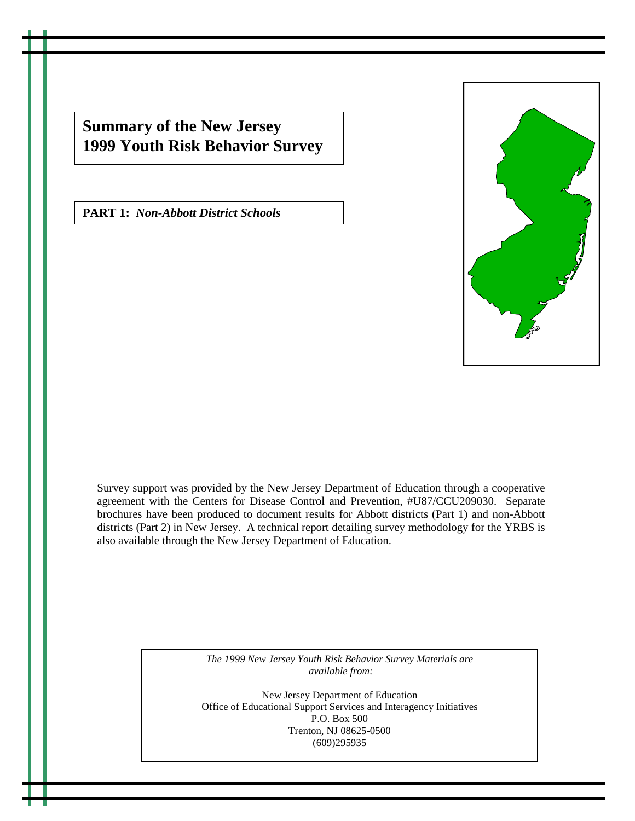**Summary of the New Jersey 1999 Youth Risk Behavior Survey**

**PART 1:** *Non-Abbott District Schools*



Survey support was provided by the New Jersey Department of Education through a cooperative agreement with the Centers for Disease Control and Prevention, #U87/CCU209030. Separate brochures have been produced to document results for Abbott districts (Part 1) and non-Abbott districts (Part 2) in New Jersey. A technical report detailing survey methodology for the YRBS is also available through the New Jersey Department of Education.

> *The 1999 New Jersey Youth Risk Behavior Survey Materials are available from:*

New Jersey Department of Education Office of Educational Support Services and Interagency Initiatives P.O. Box 500 Trenton, NJ 08625-0500 (609)295935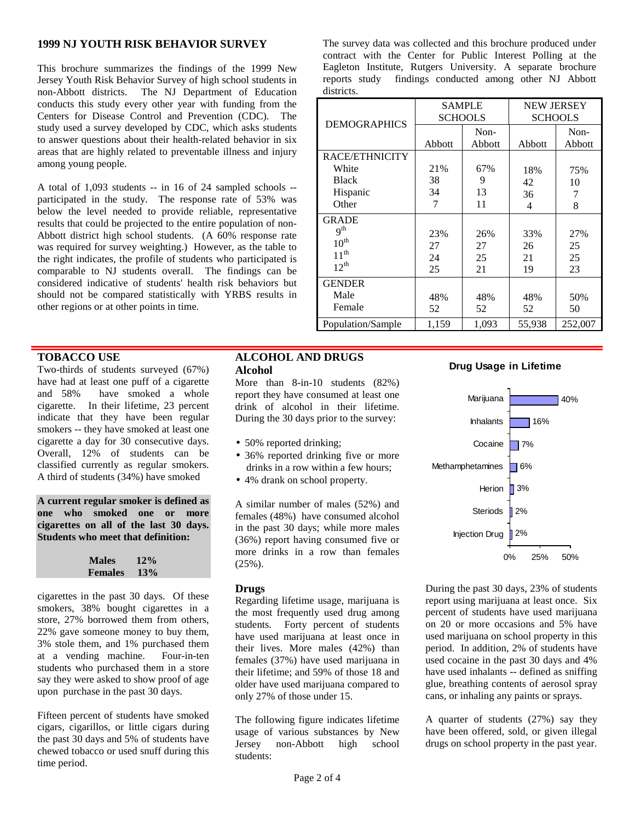# **1999 NJ YOUTH RISK BEHAVIOR SURVEY**

This brochure summarizes the findings of the 1999 New Jersey Youth Risk Behavior Survey of high school students in non-Abbott districts. The NJ Department of Education conducts this study every other year with funding from the Centers for Disease Control and Prevention (CDC). The study used a survey developed by CDC, which asks students to answer questions about their health-related behavior in six areas that are highly related to preventable illness and injury among young people.

A total of 1,093 students -- in 16 of 24 sampled schools - participated in the study. The response rate of 53% was below the level needed to provide reliable, representative results that could be projected to the entire population of non-Abbott district high school students. (A 60% response rate was required for survey weighting.) However, as the table to the right indicates, the profile of students who participated is comparable to NJ students overall. The findings can be considered indicative of students' health risk behaviors but should not be compared statistically with YRBS results in other regions or at other points in time.

# **TOBACCO USE**

Two-thirds of students surveyed (67%) have had at least one puff of a cigarette and 58% have smoked a whole cigarette. In their lifetime, 23 percent indicate that they have been regular smokers -- they have smoked at least one cigarette a day for 30 consecutive days. Overall, 12% of students can be classified currently as regular smokers. A third of students (34%) have smoked

**A current regular smoker is defined as one who smoked one or more cigarettes on all of the last 30 days. Students who meet that definition:**

| <b>Males</b>   | 12% |  |  |
|----------------|-----|--|--|
| <b>Females</b> | 13% |  |  |

cigarettes in the past 30 days. Of these smokers, 38% bought cigarettes in a store, 27% borrowed them from others, 22% gave someone money to buy them, 3% stole them, and 1% purchased them at a vending machine. Four-in-ten students who purchased them in a store say they were asked to show proof of age upon purchase in the past 30 days.

Fifteen percent of students have smoked cigars, cigarillos, or little cigars during the past 30 days and 5% of students have chewed tobacco or used snuff during this time period.

## **ALCOHOL AND DRUGS Alcohol**

More than 8-in-10 students  $(82%)$ report they have consumed at least one drink of alcohol in their lifetime. During the 30 days prior to the survey:

- 50% reported drinking;
- 36% reported drinking five or more drinks in a row within a few hours;
- 4% drank on school property.

A similar number of males (52%) and females (48%) have consumed alcohol in the past 30 days; while more males (36%) report having consumed five or more drinks in a row than females (25%).

## **Drugs**

Regarding lifetime usage, marijuana is the most frequently used drug among students. Forty percent of students have used marijuana at least once in their lives. More males (42%) than females (37%) have used marijuana in their lifetime; and 59% of those 18 and older have used marijuana compared to only 27% of those under 15.

The following figure indicates lifetime usage of various substances by New Jersey non-Abbott high school students:

The survey data was collected and this brochure produced under contract with the Center for Public Interest Polling at the Eagleton Institute, Rutgers University. A separate brochure reports study findings conducted among other NJ Abbott districts.

|                     | <b>SAMPLE</b><br><b>SCHOOLS</b> |        | <b>NEW JERSEY</b><br><b>SCHOOLS</b> |         |
|---------------------|---------------------------------|--------|-------------------------------------|---------|
| <b>DEMOGRAPHICS</b> |                                 | Non-   |                                     | Non-    |
|                     | Abbott                          | Abbott | Abbott                              | Abbott  |
| RACE/ETHNICITY      |                                 |        |                                     |         |
| White               | 21%                             | 67%    | 18%                                 | 75%     |
| <b>Black</b>        | 38                              | 9      | 42                                  | 10      |
| Hispanic            | 34                              | 13     | 36                                  | 7       |
| Other               | 7                               | 11     | 4                                   | 8       |
| <b>GRADE</b>        |                                 |        |                                     |         |
| q <sup>th</sup>     | 23%                             | 26%    | 33%                                 | 27%     |
| $10^{\text{th}}$    | 27                              | 27     | 26                                  | 25      |
| $11^{th}$           | 24                              | 25     | 21                                  | 25      |
| $12^{th}$           | 25                              | 21     | 19                                  | 23      |
| <b>GENDER</b>       |                                 |        |                                     |         |
| Male                | 48%                             | 48%    | 48%                                 | 50%     |
| Female              | 52                              | 52     | 52                                  | 50      |
| Population/Sample   | 1,159                           | 1,093  | 55,938                              | 252,007 |

## **Drug Usage in Lifetime**



During the past 30 days, 23% of students report using marijuana at least once. Six percent of students have used marijuana on 20 or more occasions and 5% have used marijuana on school property in this period. In addition, 2% of students have used cocaine in the past 30 days and 4% have used inhalants -- defined as sniffing glue, breathing contents of aerosol spray cans, or inhaling any paints or sprays.

A quarter of students (27%) say they have been offered, sold, or given illegal drugs on school property in the past year.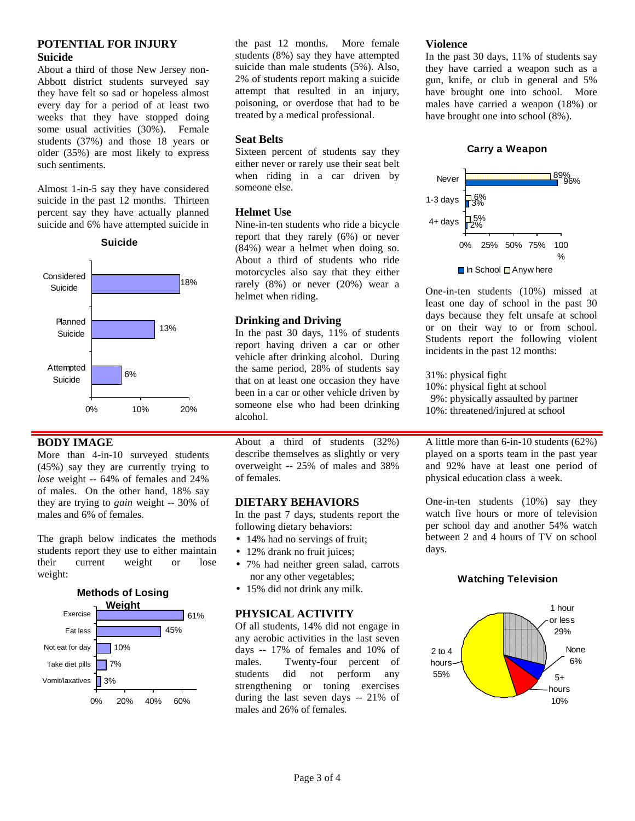# **POTENTIAL FOR INJURY Suicide**

About a third of those New Jersey non-Abbott district students surveyed say they have felt so sad or hopeless almost every day for a period of at least two weeks that they have stopped doing some usual activities (30%). Female students (37%) and those 18 years or older (35%) are most likely to express such sentiments.

Almost 1-in-5 say they have considered suicide in the past 12 months. Thirteen percent say they have actually planned suicide and 6% have attempted suicide in





## **BODY IMAGE**

More than 4-in-10 surveyed students (45%) say they are currently trying to *lose* weight -- 64% of females and 24% of males. On the other hand, 18% say they are trying to *gain* weight -- 30% of males and 6% of females.

The graph below indicates the methods students report they use to either maintain their current weight or lose weight:



the past 12 months. More female students (8%) say they have attempted suicide than male students (5%). Also, 2% of students report making a suicide attempt that resulted in an injury, poisoning, or overdose that had to be treated by a medical professional.

# **Seat Belts**

Sixteen percent of students say they either never or rarely use their seat belt when riding in a car driven by someone else.

## **Helmet Use**

Nine-in-ten students who ride a bicycle report that they rarely (6%) or never (84%) wear a helmet when doing so. About a third of students who ride motorcycles also say that they either rarely (8%) or never (20%) wear a helmet when riding.

## **Drinking and Driving**

In the past 30 days, 11% of students report having driven a car or other vehicle after drinking alcohol. During the same period, 28% of students say that on at least one occasion they have been in a car or other vehicle driven by someone else who had been drinking alcohol.

About a third of students  $(32\%)$ describe themselves as slightly or very overweight -- 25% of males and 38% of females.

# **DIETARY BEHAVIORS**

In the past 7 days, students report the following dietary behaviors:

- 14% had no servings of fruit;
- 12% drank no fruit juices;
- 7% had neither green salad, carrots nor any other vegetables;
- 15% did not drink any milk.

# **PHYSICAL ACTIVITY**

Of all students, 14% did not engage in any aerobic activities in the last seven days -- 17% of females and 10% of males. Twenty-four percent of students did not perform any strengthening or toning exercises during the last seven days -- 21% of males and 26% of females.

#### **Violence**

In the past 30 days, 11% of students say they have carried a weapon such as a gun, knife, or club in general and 5% have brought one into school. More males have carried a weapon (18%) or have brought one into school (8%).

# **Carry a Weapon**



One-in-ten students (10%) missed at least one day of school in the past 30 days because they felt unsafe at school or on their way to or from school. Students report the following violent incidents in the past 12 months:

31%: physical fight 10%: physical fight at school 9%: physically assaulted by partner 10%: threatened/injured at school

A little more than 6-in-10 students (62%) played on a sports team in the past year and 92% have at least one period of physical education class a week.

One-in-ten students (10%) say they watch five hours or more of television per school day and another 54% watch between 2 and 4 hours of TV on school days.

## **Watching Television**